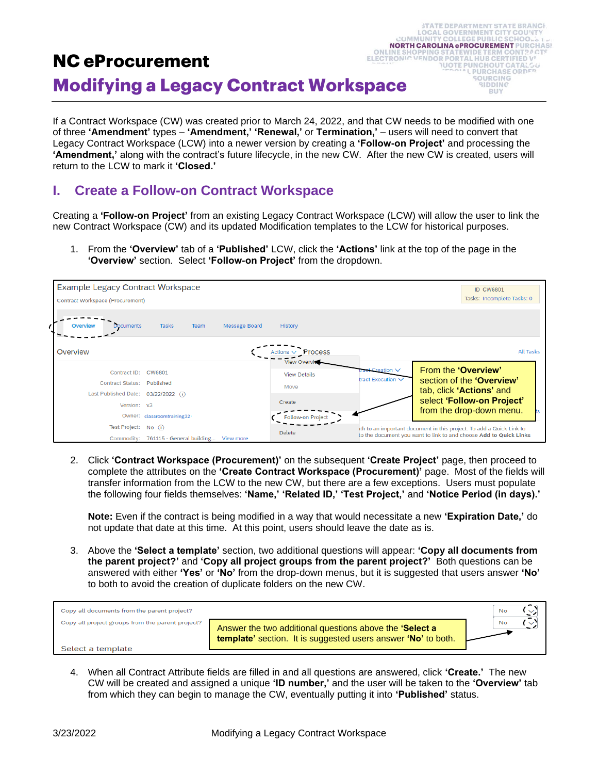# **NC eProcurement ELECTRONIC Modifying a Legacy Contract Workspace**

If a Contract Workspace (CW) was created prior to March 24, 2022, and that CW needs to be modified with one of three **'Amendment'** types – **'Amendment,' 'Renewal,'** or **Termination,'** – users will need to convert that Legacy Contract Workspace (LCW) into a newer version by creating a **'Follow-on Project'** and processing the **'Amendment,'** along with the contract's future lifecycle, in the new CW. After the new CW is created, users will return to the LCW to mark it **'Closed.'**

**STATE DEPARTMENT STATE BRANCH LOCAL GOVERNMENT CITY COUNTY** 

> **LPURCHASE ORDER** SOURCING **BIDDING** BUY

56

**NORTH CAROLINA ePROCUREMENT PURCHASI STATEWIDE TERM CO** 

**VENDOR PORTAL HUR CERTIFIED VI NUOTE PUNCHOUT CATAL** 

 $(1.888)$ 

#### **I. Create a Follow-on Contract Workspace**

Creating a **'Follow-on Project'** from an existing Legacy Contract Workspace (LCW) will allow the user to link the new Contract Workspace (CW) and its updated Modification templates to the LCW for historical purposes.

1. From the **'Overview'** tab of a **'Published'** LCW, click the **'Actions'** link at the top of the page in the **'Overview'** section. Select **'Follow-on Project'** from the dropdown.

| <b>Example Legacy Contract Workspace</b> |                                     |               |                                            |                                                                      | <b>ID CW6801</b>                                                  |  |  |
|------------------------------------------|-------------------------------------|---------------|--------------------------------------------|----------------------------------------------------------------------|-------------------------------------------------------------------|--|--|
| Contract Workspace (Procurement)         |                                     |               |                                            |                                                                      | Tasks: Incomplete Tasks: 0                                        |  |  |
| Overview<br><b>Documents</b>             | <b>Tasks</b><br>Team                | Message Board | History                                    |                                                                      |                                                                   |  |  |
| Overview                                 |                                     |               | Actions $\vee$<br>Process                  |                                                                      | <b>All Tasks</b>                                                  |  |  |
| Contract ID:                             | CW6801                              |               | <b>View Overvie</b><br><b>View Details</b> | <b>t-Creation</b> $∨$                                                | From the 'Overview'                                               |  |  |
| Contract Status: Published               |                                     |               | Move                                       | tract Execution $\vee$                                               | section of the 'Overview'                                         |  |  |
| Last Published Date: 03/22/2022 (i)      |                                     |               |                                            |                                                                      | tab, click 'Actions' and                                          |  |  |
| Version: v3                              |                                     |               | Create                                     |                                                                      | select 'Follow-on Project'<br>from the drop-down menu.            |  |  |
|                                          | Owner: classroomtraining32          |               | Follow-on Project                          |                                                                      |                                                                   |  |  |
| Test Project: No (i)                     |                                     |               | <b>Delete</b>                              | ith to an important document in this project. To add a Quick Link to |                                                                   |  |  |
| Commodity:                               | 761115 - General building View more |               |                                            |                                                                      | to the document you want to link to and choose Add to Quick Links |  |  |

2. Click **'Contract Workspace (Procurement)'** on the subsequent **'Create Project'** page, then proceed to complete the attributes on the **'Create Contract Workspace (Procurement)'** page. Most of the fields will transfer information from the LCW to the new CW, but there are a few exceptions. Users must populate the following four fields themselves: **'Name,' 'Related ID,' 'Test Project,'** and **'Notice Period (in days).'** 

**Note:** Even if the contract is being modified in a way that would necessitate a new **'Expiration Date,'** do not update that date at this time. At this point, users should leave the date as is.

3. Above the **'Select a template'** section, two additional questions will appear: **'Copy all documents from the parent project?'** and **'Copy all project groups from the parent project?'** Both questions can be answered with either **'Yes'** or **'No'** from the drop-down menus, but it is suggested that users answer **'No'** to both to avoid the creation of duplicate folders on the new CW.



4. When all Contract Attribute fields are filled in and all questions are answered, click **'Create.'** The new CW will be created and assigned a unique **'ID number,'** and the user will be taken to the **'Overview'** tab from which they can begin to manage the CW, eventually putting it into **'Published'** status.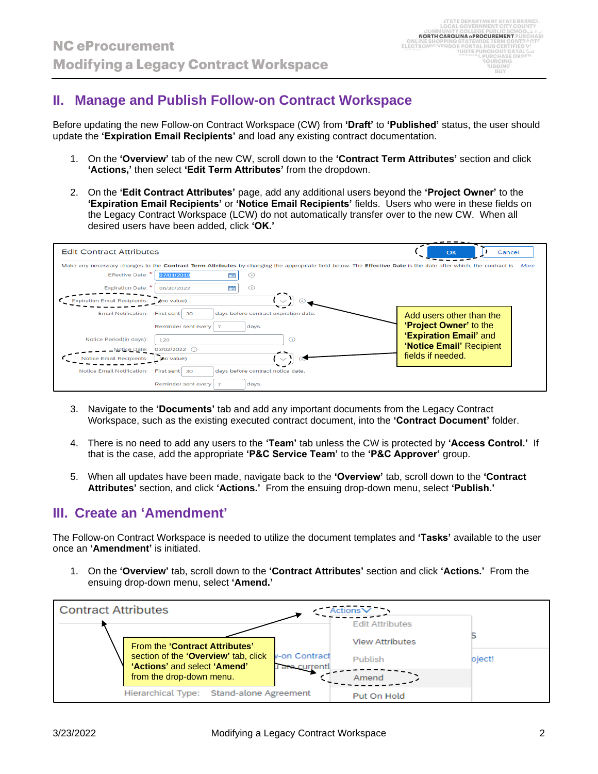## **II. Manage and Publish Follow-on Contract Workspace**

Before updating the new Follow-on Contract Workspace (CW) from **'Draft'** to **'Published'** status, the user should update the **'Expiration Email Recipients'** and load any existing contract documentation.

- 1. On the **'Overview'** tab of the new CW, scroll down to the **'Contract Term Attributes'** section and click **'Actions,'** then select **'Edit Term Attributes'** from the dropdown.
- 2. On the **'Edit Contract Attributes'** page, add any additional users beyond the **'Project Owner'** to the **'Expiration Email Recipients'** or **'Notice Email Recipients'** fields. Users who were in these fields on the Legacy Contract Workspace (LCW) do not automatically transfer over to the new CW. When all desired users have been added, click **'OK.'**

| <b>Edit Contract Attributes</b>     |                                                                                                                                                                 | Cancel<br>OK             |
|-------------------------------------|-----------------------------------------------------------------------------------------------------------------------------------------------------------------|--------------------------|
|                                     | Make any necessary changes to the Contract Term Attributes by changing the appropriate field below. The Effective Date is the date after which, the contract is | More                     |
| Effective Date: *                   | 07/01/2019<br>  前<br>$\odot$                                                                                                                                    |                          |
| Expiration Date: *                  | <b>EEE</b><br>$\odot$<br>06/30/2022                                                                                                                             |                          |
| <b>Expiration Email Recipients:</b> | (no value)                                                                                                                                                      |                          |
| <b>Email Notification:</b>          | days before contract expiration date.<br>First sent<br>-30                                                                                                      | Add users other than the |
|                                     | Reminder sent every<br>days.                                                                                                                                    | 'Project Owner' to the   |
| Notice Period(in days):             | $\odot$<br>120                                                                                                                                                  | 'Expiration Email' and   |
| <b>Notice Date:</b>                 | $03/02/2022$ (i)                                                                                                                                                | 'Notice Email' Recipient |
| <b>Notice Email Recipients:</b>     | (no value)                                                                                                                                                      | fields if needed.        |
| <b>Notice Email Notification:</b>   | days before contract notice date.<br>First sent<br>30                                                                                                           |                          |
|                                     | Reminder sent every<br>days.                                                                                                                                    |                          |

- 3. Navigate to the **'Documents'** tab and add any important documents from the Legacy Contract Workspace, such as the existing executed contract document, into the **'Contract Document'** folder.
- 4. There is no need to add any users to the **'Team'** tab unless the CW is protected by **'Access Control.'** If that is the case, add the appropriate **'P&C Service Team'** to the **'P&C Approver'** group.
- 5. When all updates have been made, navigate back to the **'Overview'** tab, scroll down to the **'Contract Attributes'** section, and click **'Actions.'** From the ensuing drop-down menu, select **'Publish.'**

# **III. Create an 'Amendment'**

The Follow-on Contract Workspace is needed to utilize the document templates and **'Tasks'** available to the user once an **'Amendment'** is initiated.

1. On the **'Overview'** tab, scroll down to the **'Contract Attributes'** section and click **'Actions.'** From the ensuing drop-down menu, select **'Amend.'**

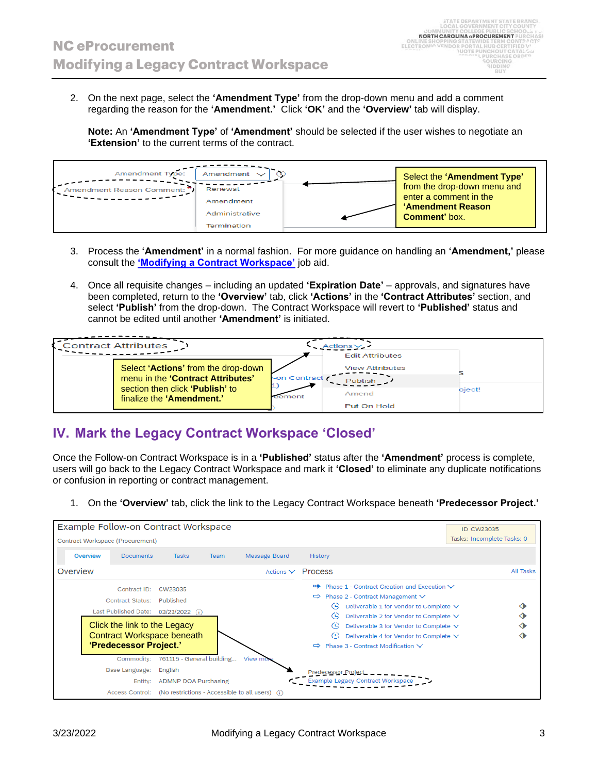2. On the next page, select the **'Amendment Type'** from the drop-down menu and add a comment regarding the reason for the **'Amendment.'** Click **'OK'** and the **'Overview'** tab will display.

**Note:** An **'Amendment Type'** of **'Amendment'** should be selected if the user wishes to negotiate an **'Extension'** to the current terms of the contract.



- 3. Process the **'Amendment'** in a normal fashion. For more guidance on handling an **'Amendment,'** please consult the **['Modifying a Contract Workspace'](https://eprocurement.nc.gov/media/416/open)** job aid.
- 4. Once all requisite changes including an updated **'Expiration Date'** approvals, and signatures have been completed, return to the **'Overview'** tab, click **'Actions'** in the **'Contract Attributes'** section, and select **'Publish'** from the drop-down. The Contract Workspace will revert to **'Published'** status and cannot be edited until another **'Amendment'** is initiated.

| <b>Contract Attributes</b>                                                                                                               |                         | Actions∨<br><b>Edit Attributes</b>                        |        |
|------------------------------------------------------------------------------------------------------------------------------------------|-------------------------|-----------------------------------------------------------|--------|
| Select 'Actions' from the drop-down<br>menu in the 'Contract Attributes'<br>section then click 'Publish' to<br>finalize the 'Amendment.' | -on Contract<br>reement | <b>View Attributes</b><br>Publish<br>Amend<br>Put On Hold | oject! |

# **IV. Mark the Legacy Contract Workspace 'Closed'**

Once the Follow-on Contract Workspace is in a **'Published'** status after the **'Amendment'** process is complete, users will go back to the Legacy Contract Workspace and mark it **'Closed'** to eliminate any duplicate notifications or confusion in reporting or contract management.

1. On the **'Overview'** tab, click the link to the Legacy Contract Workspace beneath **'Predecessor Project.'**